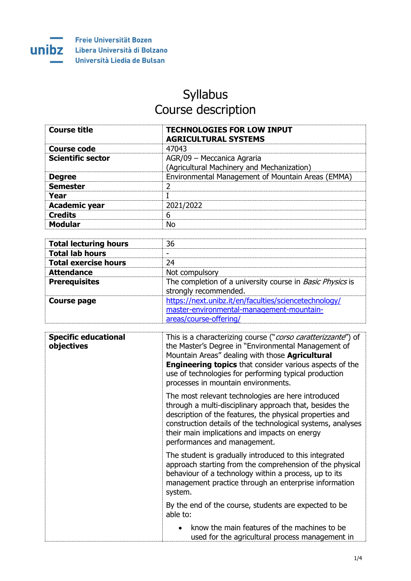

## Syllabus Course description

| <b>Course title</b>      | <b>TECHNOLOGIES FOR LOW INPUT</b><br><b>AGRICULTURAL SYSTEMS</b> |
|--------------------------|------------------------------------------------------------------|
| Course code              | 47043                                                            |
| <b>Scientific sector</b> | AGR/09 - Meccanica Agraria                                       |
|                          | (Agricultural Machinery and Mechanization)                       |
| <b>Degree</b>            | Environmental Management of Mountain Areas (EMMA)                |
| <b>Semester</b>          |                                                                  |
| Year                     |                                                                  |
| <b>Academic year</b>     | 2021/2022                                                        |
| <b>Credits</b>           | 6                                                                |
| <b>Modular</b>           | Nο                                                               |
|                          |                                                                  |

| <b>Total lecturing hours</b> | 36                                                                                                                           |
|------------------------------|------------------------------------------------------------------------------------------------------------------------------|
| <b>Total lab hours</b>       | -                                                                                                                            |
| <b>Total exercise hours</b>  | 24                                                                                                                           |
| <b>Attendance</b>            | Not compulsory                                                                                                               |
| <b>Prerequisites</b>         | The completion of a university course in <i>Basic Physics</i> is<br>strongly recommended.                                    |
| <b>Course page</b>           | https://next.unibz.it/en/faculties/sciencetechnology/<br>master-environmental-management-mountain-<br>areas/course-offering/ |

| <b>Specific educational</b><br>objectives | This is a characterizing course (" <i>corso caratterizzante</i> ") of<br>the Master's Degree in "Environmental Management of<br>Mountain Areas" dealing with those <b>Agricultural</b><br><b>Engineering topics</b> that consider various aspects of the<br>use of technologies for performing typical production<br>processes in mountain environments. |
|-------------------------------------------|----------------------------------------------------------------------------------------------------------------------------------------------------------------------------------------------------------------------------------------------------------------------------------------------------------------------------------------------------------|
|                                           | The most relevant technologies are here introduced<br>through a multi-disciplinary approach that, besides the<br>description of the features, the physical properties and<br>construction details of the technological systems, analyses<br>their main implications and impacts on energy<br>performances and management.                                |
|                                           | The student is gradually introduced to this integrated<br>approach starting from the comprehension of the physical<br>behaviour of a technology within a process, up to its<br>management practice through an enterprise information<br>system.                                                                                                          |
|                                           | By the end of the course, students are expected to be<br>able to:                                                                                                                                                                                                                                                                                        |
|                                           | know the main features of the machines to be<br>$\bullet$<br>used for the agricultural process management in                                                                                                                                                                                                                                             |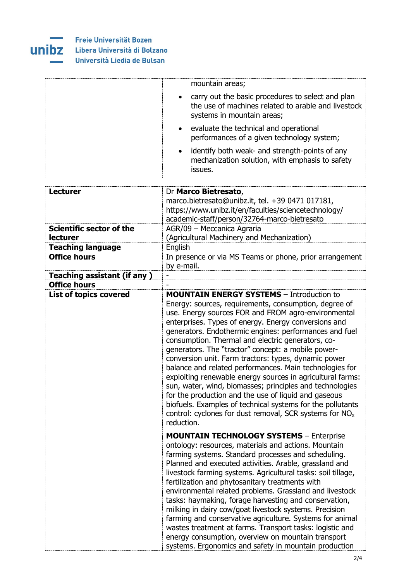

|                                    | mountain areas;                                                                                                                                                                                                                                                                                                                                                                                                                                                                                                                                                                                                                                                                                                                                                                                                                             |
|------------------------------------|---------------------------------------------------------------------------------------------------------------------------------------------------------------------------------------------------------------------------------------------------------------------------------------------------------------------------------------------------------------------------------------------------------------------------------------------------------------------------------------------------------------------------------------------------------------------------------------------------------------------------------------------------------------------------------------------------------------------------------------------------------------------------------------------------------------------------------------------|
|                                    | carry out the basic procedures to select and plan<br>the use of machines related to arable and livestock<br>systems in mountain areas;                                                                                                                                                                                                                                                                                                                                                                                                                                                                                                                                                                                                                                                                                                      |
|                                    | evaluate the technical and operational<br>$\bullet$<br>performances of a given technology system;                                                                                                                                                                                                                                                                                                                                                                                                                                                                                                                                                                                                                                                                                                                                           |
|                                    | identify both weak- and strength-points of any<br>$\bullet$<br>mechanization solution, with emphasis to safety<br>issues.                                                                                                                                                                                                                                                                                                                                                                                                                                                                                                                                                                                                                                                                                                                   |
|                                    |                                                                                                                                                                                                                                                                                                                                                                                                                                                                                                                                                                                                                                                                                                                                                                                                                                             |
| <b>Lecturer</b>                    | Dr Marco Bietresato,<br>marco.bietresato@unibz.it, tel. +39 0471 017181,<br>https://www.unibz.it/en/faculties/sciencetechnology/<br>academic-staff/person/32764-marco-bietresato                                                                                                                                                                                                                                                                                                                                                                                                                                                                                                                                                                                                                                                            |
| Scientific sector of the           | AGR/09 - Meccanica Agraria                                                                                                                                                                                                                                                                                                                                                                                                                                                                                                                                                                                                                                                                                                                                                                                                                  |
| lecturer                           | (Agricultural Machinery and Mechanization)                                                                                                                                                                                                                                                                                                                                                                                                                                                                                                                                                                                                                                                                                                                                                                                                  |
| <b>Teaching language</b>           | English                                                                                                                                                                                                                                                                                                                                                                                                                                                                                                                                                                                                                                                                                                                                                                                                                                     |
| <b>Office hours</b>                | In presence or via MS Teams or phone, prior arrangement<br>by e-mail.                                                                                                                                                                                                                                                                                                                                                                                                                                                                                                                                                                                                                                                                                                                                                                       |
| <b>Teaching assistant (if any)</b> |                                                                                                                                                                                                                                                                                                                                                                                                                                                                                                                                                                                                                                                                                                                                                                                                                                             |
| <b>Office hours</b>                |                                                                                                                                                                                                                                                                                                                                                                                                                                                                                                                                                                                                                                                                                                                                                                                                                                             |
| <b>List of topics covered</b>      | <b>MOUNTAIN ENERGY SYSTEMS</b> - Introduction to<br>Energy: sources, requirements, consumption, degree of<br>use. Energy sources FOR and FROM agro-environmental<br>enterprises. Types of energy. Energy conversions and<br>generators. Endothermic engines: performances and fuel<br>consumption. Thermal and electric generators, co-<br>generators. The "tractor" concept: a mobile power-<br>conversion unit. Farm tractors: types, dynamic power<br>balance and related performances. Main technologies for<br>exploiting renewable energy sources in agricultural farms:<br>sun, water, wind, biomasses; principles and technologies<br>for the production and the use of liquid and gaseous<br>biofuels. Examples of technical systems for the pollutants<br>control: cyclones for dust removal, SCR systems for $NOx$<br>reduction. |
|                                    | <b>MOUNTAIN TECHNOLOGY SYSTEMS - Enterprise</b><br>ontology: resources, materials and actions. Mountain<br>farming systems. Standard processes and scheduling.<br>Planned and executed activities. Arable, grassland and<br>livestock farming systems. Agricultural tasks: soil tillage,<br>fertilization and phytosanitary treatments with<br>environmental related problems. Grassland and livestock<br>tasks: haymaking, forage harvesting and conservation,<br>milking in dairy cow/goat livestock systems. Precision<br>farming and conservative agriculture. Systems for animal<br>wastes treatment at farms. Transport tasks: logistic and<br>energy consumption, overview on mountain transport<br>systems. Ergonomics and safety in mountain production                                                                            |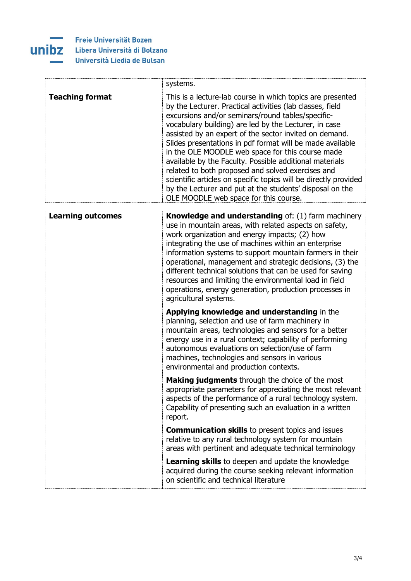

## Freie Universität Bozen Libera Università di Bolzano Università Liedia de Bulsan

|                          | systems.                                                                                                                                                                                                                                                                                                                                                                                                                                                                                                                                                                                                                                                                                                  |
|--------------------------|-----------------------------------------------------------------------------------------------------------------------------------------------------------------------------------------------------------------------------------------------------------------------------------------------------------------------------------------------------------------------------------------------------------------------------------------------------------------------------------------------------------------------------------------------------------------------------------------------------------------------------------------------------------------------------------------------------------|
| <b>Teaching format</b>   | This is a lecture-lab course in which topics are presented<br>by the Lecturer. Practical activities (lab classes, field<br>excursions and/or seminars/round tables/specific-<br>vocabulary building) are led by the Lecturer, in case<br>assisted by an expert of the sector invited on demand.<br>Slides presentations in pdf format will be made available<br>in the OLE MOODLE web space for this course made<br>available by the Faculty. Possible additional materials<br>related to both proposed and solved exercises and<br>scientific articles on specific topics will be directly provided<br>by the Lecturer and put at the students' disposal on the<br>OLE MOODLE web space for this course. |
| <b>Learning outcomes</b> | Knowledge and understanding of: (1) farm machinery                                                                                                                                                                                                                                                                                                                                                                                                                                                                                                                                                                                                                                                        |
|                          | use in mountain areas, with related aspects on safety,<br>work organization and energy impacts; (2) how<br>integrating the use of machines within an enterprise<br>information systems to support mountain farmers in their<br>operational, management and strategic decisions, (3) the<br>different technical solutions that can be used for saving<br>resources and limiting the environmental load in field<br>operations, energy generation, production processes in<br>agricultural systems.                                                                                                                                                                                                         |
|                          | Applying knowledge and understanding in the<br>planning, selection and use of farm machinery in<br>mountain areas, technologies and sensors for a better<br>energy use in a rural context; capability of performing<br>autonomous evaluations on selection/use of farm<br>machines, technologies and sensors in various<br>environmental and production contexts.                                                                                                                                                                                                                                                                                                                                         |
|                          | Making judgments through the choice of the most<br>appropriate parameters for appreciating the most relevant<br>aspects of the performance of a rural technology system.<br>Capability of presenting such an evaluation in a written<br>report.                                                                                                                                                                                                                                                                                                                                                                                                                                                           |
|                          | <b>Communication skills</b> to present topics and issues<br>relative to any rural technology system for mountain<br>areas with pertinent and adequate technical terminology                                                                                                                                                                                                                                                                                                                                                                                                                                                                                                                               |
|                          | <b>Learning skills</b> to deepen and update the knowledge<br>acquired during the course seeking relevant information<br>on scientific and technical literature                                                                                                                                                                                                                                                                                                                                                                                                                                                                                                                                            |